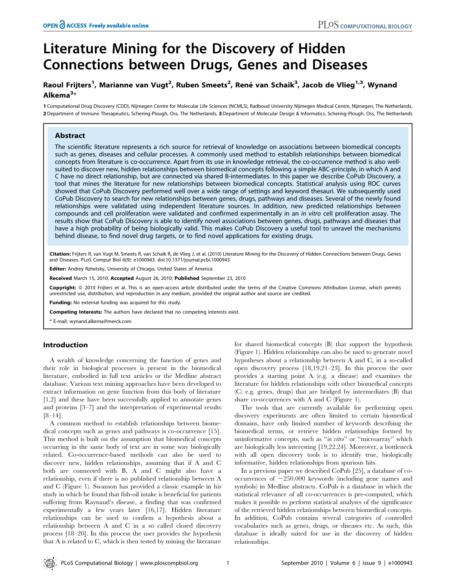# Literature Mining for the Discovery of Hidden Connections between Drugs, Genes and Diseases

# Raoul Frijters<sup>1</sup>, Marianne van Vugt<sup>2</sup>, Ruben Smeets<sup>2</sup>, René van Schaik<sup>3</sup>, Jacob de Vlieg<sup>1,3</sup>, Wynand Alkema $3*$

1 Computational Drug Discovery (CDD), Nijmegen Centre for Molecular Life Sciences (NCMLS), Radboud University Nijmegen Medical Centre, Nijmegen, The Netherlands, 2 Department of Immune Therapeutics, Schering-Plough, Oss, The Netherlands, 3 Department of Molecular Design & Informatics, Schering-Plough, Oss, The Netherlands

# Abstract

The scientific literature represents a rich source for retrieval of knowledge on associations between biomedical concepts such as genes, diseases and cellular processes. A commonly used method to establish relationships between biomedical concepts from literature is co-occurrence. Apart from its use in knowledge retrieval, the co-occurrence method is also wellsuited to discover new, hidden relationships between biomedical concepts following a simple ABC-principle, in which A and C have no direct relationship, but are connected via shared B-intermediates. In this paper we describe CoPub Discovery, a tool that mines the literature for new relationships between biomedical concepts. Statistical analysis using ROC curves showed that CoPub Discovery performed well over a wide range of settings and keyword thesauri. We subsequently used CoPub Discovery to search for new relationships between genes, drugs, pathways and diseases. Several of the newly found relationships were validated using independent literature sources. In addition, new predicted relationships between compounds and cell proliferation were validated and confirmed experimentally in an in vitro cell proliferation assay. The results show that CoPub Discovery is able to identify novel associations between genes, drugs, pathways and diseases that have a high probability of being biologically valid. This makes CoPub Discovery a useful tool to unravel the mechanisms behind disease, to find novel drug targets, or to find novel applications for existing drugs.

Citation: Frijters R, van Vugt M, Smeets R, van Schaik R, de Vlieg J, et al. (2010) Literature Mining for the Discovery of Hidden Connections between Drugs, Genes and Diseases. PLoS Comput Biol 6(9): e1000943. doi:10.1371/journal.pcbi.1000943

Editor: Andrey Rzhetsky, University of Chicago, United States of America

Received March 15, 2010; Accepted August 26, 2010; Published September 23, 2010

Copyright: © 2010 Frijters et al. This is an open-access article distributed under the terms of the Creative Commons Attribution License, which permits unrestricted use, distribution, and reproduction in any medium, provided the original author and source are credited.

Funding: No external funding was acquired for this study.

Competing Interests: The authors have declared that no competing interests exist.

E-mail: wynand.alkema@merck.com

# Introduction

A wealth of knowledge concerning the function of genes and their role in biological processes is present in the biomedical literature, embodied in full text articles or the Medline abstract database. Various text mining approaches have been developed to extract information on gene function from this body of literature [1,2] and these have been successfully applied to annotate genes and proteins [3–7] and the interpretation of experimental results [8–14].

A common method to establish relationships between biomedical concepts such as genes and pathways is co-occurrence [15]. This method is built on the assumption that biomedical concepts occurring in the same body of text are in some way biologically related. Co-occurrence-based methods can also be used to discover new, hidden relationships, assuming that if A and C both are connected with B, A and C might also have a relationship, even if there is no published relationship between A and C (Figure 1). Swanson has provided a classic example in his study in which he found that fish-oil intake is beneficial for patients suffering from Raynaud's disease, a finding that was confirmed experimentally a few years later [16,17]. Hidden literature relationships can be used to confirm a hypothesis about a relationship between A and C in a so called closed discovery process [18–20]. In this process the user provides the hypothesis that A is related to C, which is then tested by mining the literature for shared biomedical concepts (B) that support the hypothesis (Figure 1). Hidden relationships can also be used to generate novel hypotheses about a relationship between A and C, in a so-called open discovery process [18,19,21–23]. In this process the user provides a starting point A (e.g. a disease) and examines the literature for hidden relationships with other biomedical concepts (C; e.g. genes, drugs) that are bridged by intermediates (B) that share co-occurrences with A and C (Figure 1).

The tools that are currently available for performing open discovery experiments are often limited to certain biomedical domains, have only limited number of keywords describing the biomedical terms, or retrieve hidden relationships formed by uninformative concepts, such as "in vitro" or "microarray" which are biologically less interesting [19,22,24]. Moreover, a bottleneck with all open discovery tools is to identify true, biologically informative, hidden relationships from spurious hits.

In a previous paper we described CoPub [25], a database of cooccurrences of  $\sim$ 250.000 keywords (including gene names and symbols) in Medline abstracts. CoPub is a database in which the statistical relevance of all co-occurrences is pre-computed, which makes it possible to perform statistical analyses of the significance of the retrieved hidden relationships between biomedical concepts. In addition, CoPub contains several categories of controlled vocabularies such as genes, drugs, or diseases etc. As such, this database is ideally suited for use in the discovery of hidden relationships.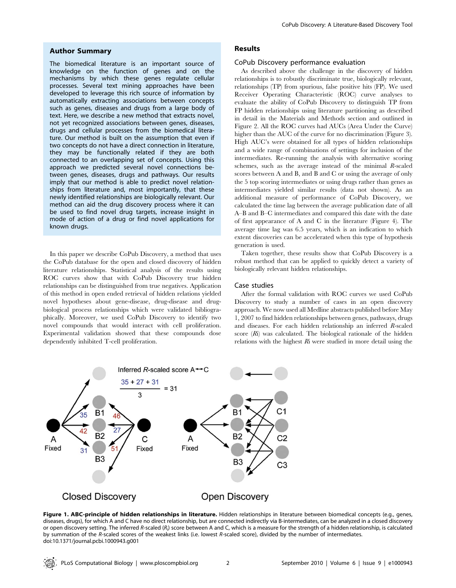# Author Summary

The biomedical literature is an important source of knowledge on the function of genes and on the mechanisms by which these genes regulate cellular processes. Several text mining approaches have been developed to leverage this rich source of information by automatically extracting associations between concepts such as genes, diseases and drugs from a large body of text. Here, we describe a new method that extracts novel, not yet recognized associations between genes, diseases, drugs and cellular processes from the biomedical literature. Our method is built on the assumption that even if two concepts do not have a direct connection in literature, they may be functionally related if they are both connected to an overlapping set of concepts. Using this approach we predicted several novel connections between genes, diseases, drugs and pathways. Our results imply that our method is able to predict novel relationships from literature and, most importantly, that these newly identified relationships are biologically relevant. Our method can aid the drug discovery process where it can be used to find novel drug targets, increase insight in mode of action of a drug or find novel applications for known drugs.

In this paper we describe CoPub Discovery, a method that uses the CoPub database for the open and closed discovery of hidden literature relationships. Statistical analysis of the results using ROC curves show that with CoPub Discovery true hidden relationships can be distinguished from true negatives. Application of this method in open ended retrieval of hidden relations yielded novel hypotheses about gene-disease, drug-disease and drugbiological process relationships which were validated bibliographically. Moreover, we used CoPub Discovery to identify two novel compounds that would interact with cell proliferation. Experimental validation showed that these compounds dose dependently inhibited T-cell proliferation.

# Results

#### CoPub Discovery performance evaluation

As described above the challenge in the discovery of hidden relationships is to robustly discriminate true, biologically relevant, relationships (TP) from spurious, false positive hits (FP). We used Receiver Operating Characteristic (ROC) curve analyses to evaluate the ability of CoPub Discovery to distinguish TP from FP hidden relationships using literature partitioning as described in detail in the Materials and Methods section and outlined in Figure 2. All the ROC curves had AUCs (Area Under the Curve) higher than the AUC of the curve for no discrimination (Figure 3). High AUC's were obtained for all types of hidden relationships and a wide range of combinations of settings for inclusion of the intermediates. Re-running the analysis with alternative scoring schemes, such as the average instead of the minimal R-scaled scores between A and B, and B and C or using the average of only the 5 top scoring intermediates or using drugs rather than genes as intermediates yielded similar results (data not shown). As an additional measure of performance of CoPub Discovery, we calculated the time lag between the average publication date of all A–B and B–C intermediates and compared this date with the date of first appearance of A and C in the literature (Figure 4). The average time lag was 6.5 years, which is an indication to which extent discoveries can be accelerated when this type of hypothesis generation is used.

Taken together, these results show that CoPub Discovery is a robust method that can be applied to quickly detect a variety of biologically relevant hidden relationships.

#### Case studies

After the formal validation with ROC curves we used CoPub Discovery to study a number of cases in an open discovery approach. We now used all Medline abstracts published before May 1, 2007 to find hidden relationships between genes, pathways, drugs and diseases. For each hidden relationship an inferred R-scaled score (Ri) was calculated. The biological rationale of the hidden relations with the highest Ri were studied in more detail using the



Figure 1. ABC-principle of hidden relationships in literature. Hidden relationships in literature between biomedical concepts (e.g., genes, diseases, drugs), for which A and C have no direct relationship, but are connected indirectly via B-intermediates, can be analyzed in a closed discovery or open discovery setting. The inferred R-scaled (R<sub>i</sub>) score between A and C, which is a measure for the strength of a hidden relationship, is calculated by summation of the R-scaled scores of the weakest links (i.e. lowest R-scaled score), divided by the number of intermediates. doi:10.1371/journal.pcbi.1000943.g001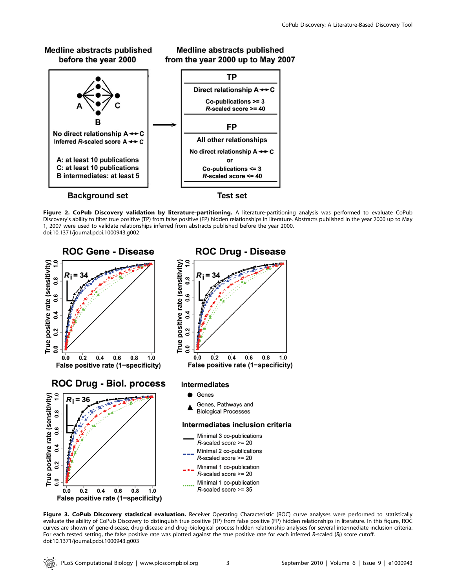

Figure 2. CoPub Discovery validation by literature-partitioning. A literature-partitioning analysis was performed to evaluate CoPub Discovery's ability to filter true positive (TP) from false positive (FP) hidden relationships in literature. Abstracts published in the year 2000 up to May 1, 2007 were used to validate relationships inferred from abstracts published before the year 2000. doi:10.1371/journal.pcbi.1000943.g002



Figure 3. CoPub Discovery statistical evaluation. Receiver Operating Characteristic (ROC) curve analyses were performed to statistically evaluate the ability of CoPub Discovery to distinguish true positive (TP) from false positive (FP) hidden relationships in literature. In this figure, ROC curves are shown of gene-disease, drug-disease and drug-biological process hidden relationship analyses for several intermediate inclusion criteria. For each tested setting, the false positive rate was plotted against the true positive rate for each inferred R-scaled ( $R_i$ ) score cutoff. doi:10.1371/journal.pcbi.1000943.g003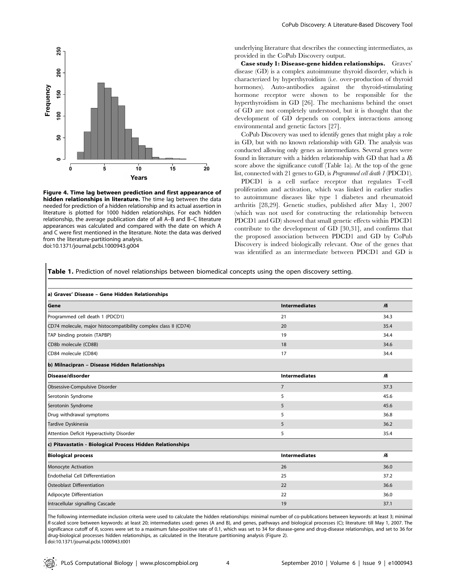

Figure 4. Time lag between prediction and first appearance of hidden relationships in literature. The time lag between the data needed for prediction of a hidden relationship and its actual assertion in literature is plotted for 1000 hidden relationships. For each hidden relationship, the average publication date of all A–B and B–C literature appearances was calculated and compared with the date on which A and C were first mentioned in the literature. Note: the data was derived from the literature-partitioning analysis. doi:10.1371/journal.pcbi.1000943.g004

underlying literature that describes the connecting intermediates, as provided in the CoPub Discovery output.

Case study 1: Disease-gene hidden relationships. Graves' disease (GD) is a complex autoimmune thyroid disorder, which is characterized by hyperthyroidism (i.e. over-production of thyroid hormones). Auto-antibodies against the thyroid-stimulating hormone receptor were shown to be responsible for the hyperthyroidism in GD [26]. The mechanisms behind the onset of GD are not completely understood, but it is thought that the development of GD depends on complex interactions among environmental and genetic factors [27].

CoPub Discovery was used to identify genes that might play a role in GD, but with no known relationship with GD. The analysis was conducted allowing only genes as intermediates. Several genes were found in literature with a hidden relationship with GD that had a Ri score above the significance cutoff (Table 1a). At the top of the gene list, connected with 21 genes to GD, is Programmed cell death 1 (PDCD1).

PDCD1 is a cell surface receptor that regulates T-cell proliferation and activation, which was linked in earlier studies to autoimmune diseases like type 1 diabetes and rheumatoid arthritis [28,29]. Genetic studies, published after May 1, 2007 (which was not used for constructing the relationship between PDCD1 and GD) showed that small genetic effects within PDCD1 contribute to the development of GD [30,31], and confirms that the proposed association between PDCD1 and GD by CoPub Discovery is indeed biologically relevant. One of the genes that was identified as an intermediate between PDCD1 and GD is

Table 1. Prediction of novel relationships between biomedical concepts using the open discovery setting.

| a) Graves' Disease - Gene Hidden Relationships                  |                      |                |
|-----------------------------------------------------------------|----------------------|----------------|
| Gene                                                            | <b>Intermediates</b> | R <sub>i</sub> |
| Programmed cell death 1 (PDCD1)                                 | 21                   | 34.3           |
| CD74 molecule, major histocompatibility complex class II (CD74) | 20                   | 35.4           |
| TAP binding protein (TAPBP)                                     | 19                   | 34.4           |
| CD8b molecule (CD8B)                                            | 18                   | 34.6           |
| CD84 molecule (CD84)                                            | 17                   | 34.4           |
| b) Milnacipran - Disease Hidden Relationships                   |                      |                |
| Disease/disorder                                                | <b>Intermediates</b> | Яi             |
| Obsessive-Compulsive Disorder                                   | $\overline{7}$       | 37.3           |
| Serotonin Syndrome                                              | 5                    | 45.6           |
| Serotonin Syndrome                                              | 5                    | 45.6           |
| Drug withdrawal symptoms                                        | 5                    | 36.8           |
| Tardive Dyskinesia                                              | 5                    | 36.2           |
| Attention Deficit Hyperactivity Disorder                        | 5                    | 35.4           |
| c) Pitavastatin - Biological Process Hidden Relationships       |                      |                |
| <b>Biological process</b>                                       | <b>Intermediates</b> | R <sub>i</sub> |
| Monocyte Activation                                             | 26                   | 36.0           |
| Endothelial Cell Differentiation                                | 25                   | 37.2           |
| Osteoblast Differentiation                                      | 22                   | 36.6           |
| Adipocyte Differentiation                                       | 22                   | 36.0           |
| Intracellular signalling Cascade                                | 19                   | 37.1           |

The following intermediate inclusion criteria were used to calculate the hidden relationships: minimal number of co-publications between keywords: at least 3; minimal R-scaled score between keywords: at least 20; intermediates used: genes (A and B), and genes, pathways and biological processes (C); literature: till May 1, 2007. The significance cutoff of  $R_i$  scores were set to a maximum false-positive rate of 0.1, which was set to 34 for disease-gene and drug-disease relationships, and set to 36 for drug-biological processes hidden relationships, as calculated in the literature partitioning analysis (Figure 2). doi:10.1371/journal.pcbi.1000943.t001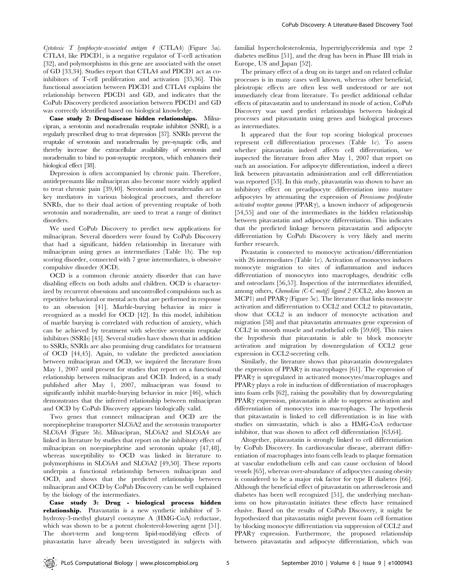Cytotoxic T lymphocyte-associated antigen 4 (CTLA4) (Figure 5a). CTLA4, like PDCD1, is a negative regulator of T-cell activation [32], and polymorphisms in this gene are associated with the onset of GD [33,34]. Studies report that CTLA4 and PDCD1 act as coinhibitors of T-cell proliferation and activation [35,36]. This functional association between PDCD1 and CTLA4 explains the relationship between PDCD1 and GD, and indicates that the CoPub Discovery predicted association between PDCD1 and GD was correctly identified based on biological knowledge.

Case study 2: Drug-disease hidden relationships. Milnacipran, a serotonin and noradrenalin reuptake inhibitor (SNRI), is a regularly prescribed drug to treat depression [37]. SNRIs prevent the reuptake of serotonin and noradrenalin by pre-synaptic cells, and thereby increase the extracellular availability of serotonin and noradrenalin to bind to post-synaptic receptors, which enhances their biological effect [38].

Depression is often accompanied by chronic pain. Therefore, antidepressants like milnacipran also become more widely applied to treat chronic pain [39,40]. Serotonin and noradrenalin act as key mediators in various biological processes, and therefore SNRIs, due to their dual action of preventing reuptake of both serotonin and noradrenalin, are used to treat a range of distinct disorders.

We used CoPub Discovery to predict new applications for milnacipran. Several disorders were found by CoPub Discovery that had a significant, hidden relationship in literature with milnacipran using genes as intermediates (Table 1b). The top scoring disorder, connected with 7 gene intermediates, is obsessive compulsive disorder (OCD).

OCD is a common chronic anxiety disorder that can have disabling effects on both adults and children. OCD is characterized by recurrent obsessions and uncontrolled compulsions such as repetitive behavioral or mental acts that are performed in response to an obsession [41]. Marble-burying behavior in mice is recognized as a model for OCD [42]. In this model, inhibition of marble burying is correlated with reduction of anxiety, which can be achieved by treatment with selective serotonin reuptake inhibitors (SSRIs) [43]. Several studies have shown that in addition to SSRIs, SNRIs are also promising drug candidates for treatment of OCD [44,45]. Again, to validate the predicted association between milnacipran and OCD, we inquired the literature from May 1, 2007 until present for studies that report on a functional relationship between milnacipran and OCD. Indeed, in a study published after May 1, 2007, milnacipran was found to significantly inhibit marble-burying behavior in mice [46], which demonstrates that the inferred relationship between milnacipran and OCD by CoPub Discovery appears biologically valid.

Two genes that connect milnacipran and OCD are the norepinephrine transporter SLC6A2 and the serotonin transporter SLC6A4 (Figure 5b). Milnacipran, SLC6A2 and SLC6A4 are linked in literature by studies that report on the inhibitory effect of milnacipran on norepinephrine and serotonin uptake [47,48], whereas susceptibility to OCD was linked in literature to polymorphisms in SLC6A4 and SLC6A2 [49,50]. These reports underpin a functional relationship between milnacipran and OCD, and shows that the predicted relationship between milnacipran and OCD by CoPub Discovery can be well explained by the biology of the intermediates.

Case study 3: Drug - biological process hidden relationship. Pitavastatin is a new synthetic inhibitor of 3 hydroxy-3-methyl glutaryl coenzyme A (HMG-CoA) reductase, which was shown to be a potent cholesterol-lowering agent [51]. The short-term and long-term lipid-modifying effects of pitavastatin have already been investigated in subjects with

familial hypercholesterolemia, hypertriglyceridemia and type 2 diabetes mellitus [51], and the drug has been in Phase III trials in Europe, US and Japan [52].

The primary effect of a drug on its target and on related cellular processes is in many cases well known, whereas other beneficial, pleiotropic effects are often less well understood or are not immediately clear from literature. To predict additional cellular effects of pitavastatin and to understand its mode of action, CoPub Discovery was used predict relationships between biological processes and pitavastatin using genes and biological processes as intermediates.

It appeared that the four top scoring biological processes represent cell differentiation processes (Table 1c). To assess whether pitavastatin indeed affects cell differentiation, we inspected the literature from after May 1, 2007 that report on such an association. For adipocyte differentiation, indeed a direct link between pitavastatin administration and cell differentiation was reported [53]. In this study, pitavastatin was shown to have an inhibitory effect on preadipocyte differentiation into mature adipocytes by attenuating the expression of Peroxisome proliferator activated receptor gamma (PPAR $\gamma$ ), a known inducer of adipogenesis [54,55] and one of the intermediates in the hidden relationship between pitavastatin and adipocyte differentiation. This indicates that the predicted linkage between pitavastatin and adipocyte differentiation by CoPub Discovery is very likely and merits further research.

Pivastatin is connected to monocyte activation/differentiation with 26 intermediates (Table 1c). Activation of monocytes induces monocyte migration to sites of inflammation and induces differentiation of monocytes into macrophages, dendritic cells and osteoclasts [56,57]. Inspection of the intermediates identified, among others, Chemokine (C-C motif) ligand 2 (CCL2, also known as  $MCP1$ ) and  $PPAR\gamma$  (Figure 5c). The literature that links monocyte activation and differentiation to CCL2 and CCL2 to pitavastatin, show that CCL2 is an inducer of monocyte activation and migration [58] and that pitavastatin attenuates gene expression of CCL2 in smooth muscle and endothelial cells [59,60]. This raises the hypothesis that pitavastatin is able to block monocyte activation and migration by downregulation of CCL2 gene expression in CCL2-secreting cells.

Similarly, the literature shows that pitavastatin downregulates the expression of PPAR $\gamma$  in macrophages [61]. The expression of  $PPAR\gamma$  is upregulated in activated monocytes/macrophages and  $PPAR\gamma$  plays a role in induction of differentiation of macrophages into foam cells [62], raising the possibility that by downregulating  $PPAR\gamma$  expression, pitavastatin is able to suppress activation and differentiation of monocytes into macrophages. The hypothesis that pitavastatin is linked to cell differentiation is in line with studies on simvastatin, which is also a HMG-CoA reductase inhibitor, that was shown to affect cell differentiation [63,64].

Altogether, pitavastatin is strongly linked to cell differentiation by CoPub Discovery. In cardiovascular disease, aberrant differentiation of macrophages into foam cells leads to plaque formation at vascular endothelium cells and can cause occlusion of blood vessels [65], whereas over-abundance of adipocytes causing obesity is considered to be a major risk factor for type II diabetes [66]. Although the beneficial effect of pitavastatin on atherosclerosis and diabetes has been well recognized [51], the underlying mechanisms on how pitavastatin initiates these effects have remained elusive. Based on the results of CoPub Discovery, it might be hypothesized that pitavastatin might prevent foam cell formation by blocking monocyte differentiation via suppression of CCL2 and PPAR<sub>Y</sub> expression. Furthermore, the proposed relationship between pitavastatin and adipocyte differentiation, which was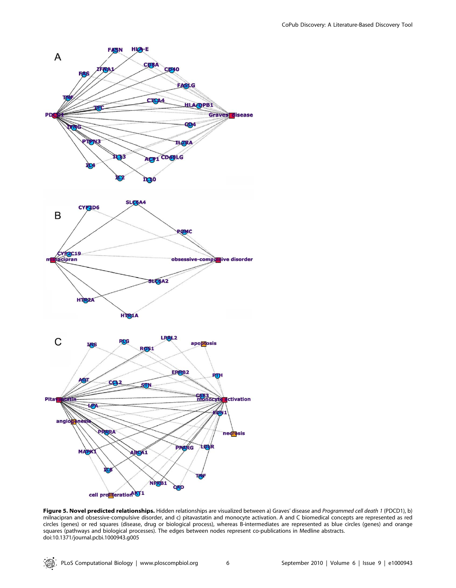

Figure 5. Novel predicted relationships. Hidden relationships are visualized between a) Graves' disease and Programmed cell death 1 (PDCD1), b) milnacipran and obsessive-compulsive disorder, and c) pitavastatin and monocyte activation. A and C biomedical concepts are represented as red circles (genes) or red squares (disease, drug or biological process), whereas B-intermediates are represented as blue circles (genes) and orange squares (pathways and biological processes). The edges between nodes represent co-publications in Medline abstracts. doi:10.1371/journal.pcbi.1000943.g005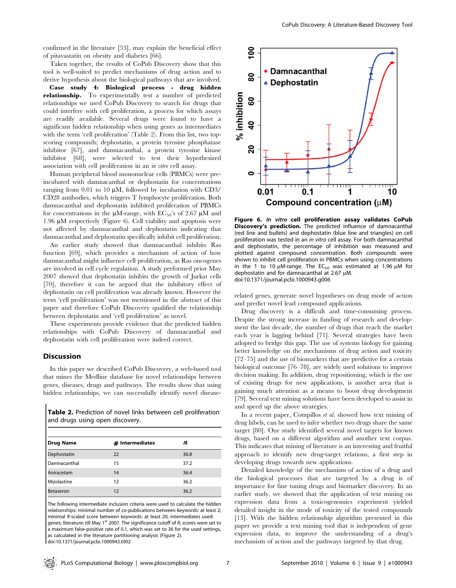confirmed in the literature [53], may explain the beneficial effect of pitavastatin on obesity and diabetes [66].

Taken together, the results of CoPub Discovery show that this tool is well-suited to predict mechanisms of drug action and to derive hypothesis about the biological pathways that are involved.

Case study 4: Biological process - drug hidden relationship. To experimentally test a number of predicted relationships we used CoPub Discovery to search for drugs that could interfere with cell proliferation, a process for which assays are readily available. Several drugs were found to have a significant hidden relationship when using genes as intermediates with the term 'cell proliferation' (Table 2). From this list, two topscoring compounds; dephostatin, a protein tyrosine phosphatase inhibitor [67], and damnacanthal, a protein tyrosine kinase inhibitor [68], were selected to test their hypothesized association with cell proliferation in an in vitro cell assay.

Human peripheral blood mononuclear cells (PBMCs) were preincubated with damnacanthal or dephostatin for concentrations ranging from 0.01 to 10  $\mu$ M, followed by incubation with CD3/ CD28 antibodies, which triggers T lymphocyte proliferation. Both damnacanthal and dephostatin inhibited proliferation of PBMCs for concentrations in the  $\mu$ M-range, with EC<sub>50</sub>'s of 2.67  $\mu$ M and 1.96  $\mu$ M respectively (Figure 6). Cell viability and apoptosis were not affected by damnacanthal and dephostatin indicating that damnacanthal and dephostatin specifically inhibit cell proliferation.

An earlier study showed that damnacanthal inhibits Ras function [69], which provides a mechanism of action of how damnacanthal might influence cell proliferation, as Ras oncogenes are involved in cell cycle regulation. A study performed prior May 2007 showed that dephostatin inhibits the growth of Jurkat cells [70], therefore it can be argued that the inhibitory effect of dephostatin on cell proliferation was already known. However the term 'cell proliferation' was not mentioned in the abstract of this paper and therefore CoPub Discovery qualified the relationship between dephostatin and 'cell proliferation' as novel.

These experiments provide evidence that the predicted hidden relationships with CoPub Discovery of damnacanthal and dephostatin with cell proliferation were indeed correct.

# Discussion

In this paper we described CoPub Discovery, a web-based tool that mines the Medline database for novel relationships between genes, diseases, drugs and pathways. The results show that using hidden relationships, we can successfully identify novel disease-

Table 2. Prediction of novel links between cell proliferation and drugs using open discovery.

| Drug Name    | # Intermediates | Ri   |  |
|--------------|-----------------|------|--|
| Dephostatin  | 22              | 36.8 |  |
| Damnacanthal | 15              | 37.2 |  |
| Aniracetam   | 14              | 36.4 |  |
| Mizolastine  | 12              | 36.2 |  |
| Betaseron    | 12              | 36.2 |  |

The following intermediate inclusion criteria were used to calculate the hidden relationships: minimal number of co-publications between keywords: at least 2; minimal R-scaled score between keywords: at least 20; intermediates used: genes; literature: till May 1<sup>st</sup> 2007. The significance cutoff of  $R_i$  scores were set to a maximum false-positive rate of 0.1, which was set to 36 for the used settings, as calculated in the literature partitioning analysis (Figure 2). doi:10.1371/journal.pcbi.1000943.t002



Figure 6. In vitro cell proliferation assay validates CoPub Discovery's prediction. The predicted influence of damnacanthal (red line and bullets) and dephostatin (blue line and triangles) on cell proliferation was tested in an in vitro cell assay. For both damnacanthal and dephostatin, the percentage of inhibition was measured and plotted against compound concentration. Both compounds were shown to inhibit cell proliferation in PBMCs when using concentrations in the 1 to 10  $\mu$ M-range. The EC<sub>50</sub> was estimated at 1.96  $\mu$ M for dephostatin and for damnacanthal at 2.67 µM. doi:10.1371/journal.pcbi.1000943.g006

related genes, generate novel hypotheses on drug mode of action and predict novel lead compound applications.

Drug discovery is a difficult and time-consuming process. Despite the strong increase in funding of research and development the last decade, the number of drugs that reach the market each year is lagging behind [71]. Several strategies have been adopted to bridge this gap. The use of systems biology for gaining better knowledge on the mechanisms of drug action and toxicity [72–75] and the use of biomarkers that are predictive for a certain biological outcome [76–78], are widely used solutions to improve decision making. In addition, drug repositioning, which is the use of existing drugs for new applications, is another area that is gaining much attention as a means to boost drug development [79]. Several text mining solutions have been developed to assist in and speed up the above strategies.

In a recent paper, Compillos et al. showed how text mining of drug labels, can be used to infer whether two drugs share the same target [80]. Our study identified several novel targets for known drugs, based on a different algorithm and another text corpus. This indicates that mining of literature is an interesting and fruitful approach to identify new drug-target relations, a first step in developing drugs towards new applications.

Detailed knowledge of the mechanism of action of a drug and the biological processes that are targeted by a drug is of importance for fine tuning drugs and biomarker discovery. In an earlier study, we showed that the application of text mining on expression data from a toxicogenomics experiment yielded detailed insight in the mode of toxicity of the tested compounds [13]. With the hidden relationship algorithm presented in this paper we provide a text mining tool that is independent of gene expression data, to improve the understanding of a drug's mechanism of action and the pathways targeted by that drug.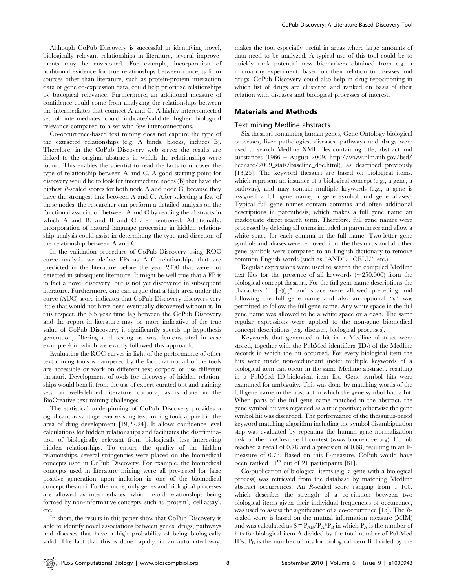Although CoPub Discovery is successful in identifying novel, biologically relevant relationships in literature, several improvements may be envisioned. For example, incorporation of additional evidence for true relationships between concepts from sources other than literature, such as protein-protein interaction data or gene co-expression data, could help prioritize relationships by biological relevance. Furthermore, an additional measure of confidence could come from analyzing the relationships between the intermediates that connect A and C. A highly interconnected set of intermediates could indicate/validate higher biological relevance compared to a set with few interconnections.

Co-occurrence-based text mining does not capture the type of the extracted relationships (e.g. A binds, blocks, induces B). Therefore, in the CoPub Discovery web server the results are linked to the original abstracts in which the relationships were found. This enables the scientist to read the facts to uncover the type of relationship between A and C. A good starting point for discovery would be to look for intermediate nodes (B) that have the highest R-scaled scores for both node A and node C, because they have the strongest link between A and C. After selecting a few of these nodes, the researcher can perform a detailed analysis on the functional association between A and C by reading the abstracts in which A and B, and B and C are mentioned. Additionally, incorporation of natural language processing in hidden relationship analysis could assist in determining the type and direction of the relationship between A and C.

In the validation procedure of CoPub Discovery using ROC curve analysis we define FPs as A–C relationships that are predicted in the literature before the year 2000 that were not detected in subsequent literature. It might be well true that a FP is in fact a novel discovery, but is not yet discovered in subsequent literature. Furthermore, one can argue that a high area under the curve (AUC) score indicates that CoPub Discovery discovers very little that would not have been eventually discovered without it. In this respect, the 6.5 year time lag between the CoPub Discovery and the report in literature may be more indicative of the true value of CoPub Discovery; it significantly speeds up hypothesis generation, filtering and testing as was demonstrated in case example 4 in which we exactly followed this approach.

Evaluating the ROC curves in light of the performance of other text mining tools is hampered by the fact that not all of the tools are accessible or work on different text corpora or use different thesauri. Development of tools for discovery of hidden relationships would benefit from the use of expert-curated test and training sets on well-defined literature corpora, as is done in the BioCreative text mining challenges.

The statistical underpinning of CoPub Discovery provides a significant advantage over existing text mining tools applied in the area of drug development [19,22,24]. It allows confidence level calculations for hidden relationships and facilitates the discrimination of biologically relevant from biologically less interesting hidden relationships. To ensure the quality of the hidden relationships, several stringencies were placed on the biomedical concepts used in CoPub Discovery. For example, the biomedical concepts used in literature mining were all pre-tested for false positive generation upon inclusion in one of the biomedical concept thesauri. Furthermore, only genes and biological processes are allowed as intermediates, which avoid relationships being formed by non-informative concepts, such as 'protein', 'cell assay', etc.

In short, the results in this paper show that CoPub Discovery is able to identify novel associations between genes, drugs, pathways and diseases that have a high probability of being biologically valid. The fact that this is done rapidly, in an automated way, makes the tool especially useful in areas where large amounts of data need to be analyzed. A typical use of this tool could be to quickly rank potential new biomarkers obtained from e.g. a microarray experiment, based on their relation to diseases and drugs. CoPub Discovery could also help in drug repositioning in which list of drugs are clustered and ranked on basis of their relation with diseases and biological processes of interest.

# Materials and Methods

### Text mining Medline abstracts

Six thesauri containing human genes, Gene Ontology biological processes, liver pathologies, diseases, pathways and drugs were used to search Medline XML files containing title, abstract and substances (1966 – August 2009, http://www.nlm.nih.gov/bsd/ licensee/2009\_stats/baseline\_doc.html), as described previously [13,25]. The keyword thesauri are based on biological items, which represent an instance of a biological concept (e.g., a gene, a pathway), and may contain multiple keywords (e.g., a gene is assigned a full gene name, a gene symbol and gene aliases). Typical full gene names contain commas and often additional descriptions in parenthesis, which makes a full gene name an inadequate direct search term. Therefore, full gene names were processed by deleting all terms included in parentheses and allow a white space for each comma in the full name. Two-letter gene symbols and aliases were removed from the thesaurus and all other gene symbols were compared to an English dictionary to remove common English words (such as ''AND'', ''CELL'', etc.).

Regular expressions were used to search the compiled Medline text files for the presence of all keywords  $(\sim 250.000)$  from the biological concept thesauri. For the full gene name descriptions the characters "] [.-)(,:;" and space were allowed preceding and following the full gene name and also an optional ''s'' was permitted to follow the full gene name. Any white space in the full gene name was allowed to be a white space or a dash. The same regular expressions were applied to the non-gene biomedical concept descriptions (e.g. diseases, biological processes).

Keywords that generated a hit in a Medline abstract were stored, together with the PubMed identifiers (IDs) of the Medline records in which the hit occurred. For every biological item the hits were made non-redundant (note: multiple keywords of a biological item can occur in the same Medline abstract), resulting in a PubMed ID-biological item list. Gene symbol hits were examined for ambiguity. This was done by matching words of the full gene name in the abstract in which the gene symbol had a hit. When parts of the full gene name matched in the abstract, the gene symbol hit was regarded as a true positive; otherwise the gene symbol hit was discarded. The performance of the thesaurus-based keyword matching algorithm including the symbol disambiguation step was evaluated by repeating the human gene normalization task of the BioCreative II contest (www.biocreative.org). CoPub reached a recall of 0.78 and a precision of 0.68, resulting in an Fmeasure of 0.73. Based on this F-measure, CoPub would have been ranked  $11<sup>th</sup>$  out of 21 participants [81].

Co-publication of biological items (e.g. a gene with a biological process) was retrieved from the database by matching Medline abstract occurrences. An R-scaled score ranging from 1–100, which describes the strength of a co-citation between two biological items given their individual frequencies of occurrence, was used to assess the significance of a co-occurrence [15]. The Rscaled score is based on the mutual information measure (MIM) and was calculated as  $S = P_{AB}/P_A * P_B$  in which  $P_A$  is the number of hits for biological item A divided by the total number of PubMed IDs, P<sub>B</sub> is the number of hits for biological item B divided by the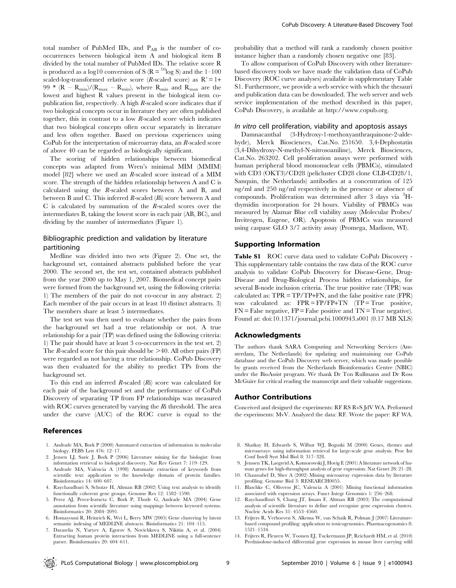total number of PubMed IDs, and  $P_{AB}$  is the number of cooccurrences between biological item A and biological item B divided by the total number of PubMed IDs. The relative score R is produced as a log10 conversion of S ( $R = {}^{10}$ log S) and the 1–100 scaled-log-transformed relative score (*R*-scaled score) as  $R' = 1+$ 99 \*  $(R - R_{min})/(R_{max} - R_{min})$ , where  $R_{min}$  and  $R_{max}$  are the lowest and highest R values present in the biological item copublication list, respectively. A high R-scaled score indicates that if two biological concepts occur in literature they are often published together, this in contrast to a low  $R$ -scaled score which indicates that two biological concepts often occur separately in literature and less often together. Based on previous experiences using CoPub for the interpretation of microarray data, an R-scaled score of above 40 can be regarded as biologically significant.

The scoring of hidden relationships between biomedical concepts was adapted from Wren's minimal MIM (MMIM) model [82] where we used an R-scaled score instead of a MIM score. The strength of the hidden relationship between A and C is calculated using the R-scaled scores between A and B, and between B and C. This inferred R-scaled (Ri) score between A and  $C$  is calculated by summation of the  $R$ -scaled scores over the intermediates B, taking the lowest score in each pair (AB, BC), and dividing by the number of intermediates (Figure 1).

# Bibliographic prediction and validation by literature partitioning

Medline was divided into two sets (Figure 2). One set, the background set, contained abstracts published before the year 2000. The second set, the test set, contained abstracts published from the year 2000 up to May 1, 2007. Biomedical concept pairs were formed from the background set, using the following criteria: 1) The members of the pair do not co-occur in any abstract. 2) Each member of the pair occurs in at least 10 distinct abstracts. 3) The members share at least 5 intermediates.

The test set was then used to evaluate whether the pairs from the background set had a true relationship or not. A true relationship for a pair (TP) was defined using the following criteria: 1) The pair should have at least 3 co-occurrences in the test set. 2) The R-scaled score for this pair should be  $>40$ . All other pairs (FP) were regarded as not having a true relationship. CoPub Discovery was then evaluated for the ability to predict TPs from the background set.

To this end an inferred R-scaled (Ri) score was calculated for each pair of the background set and the performance of CoPub Discovery of separating TP from FP relationships was measured with ROC curves generated by varying the Ri threshold. The area under the curve (AUC) of the ROC curve is equal to the

#### References

- 1. Andrade MA, Bork P (2000) Automated extraction of information in molecular biology. FEBS Lett 476: 12–17.
- 2. Jensen LJ, Saric J, Bork P (2006) Literature mining for the biologist: from information retrieval to biological discovery. Nat Rev Genet 7: 119–129.
- 3. Andrade MA, Valencia A (1998) Automatic extraction of keywords from scientific text: application to the knowledge domain of protein families. Bioinformatics 14: 600–607.
- 4. Raychaudhuri S, Schutze H, Altman RB (2002) Using text analysis to identify functionally coherent gene groups. Genome Res 12: 1582–1590.
- 5. Perez AJ, Perez-Iratxeta C, Bork P, Thode G, Andrade MA (2004) Gene annotation from scientific literature using mappings between keyword systems. Bioinformatics 20: 2084–2091.
- 6. Homayouni R, Heinrich K, Wei L, Berry MW (2005) Gene clustering by latent semantic indexing of MEDLINE abstracts. Bioinformatics 21: 104–115.
- 7. Daraselia N, Yuryev A, Egorov S, Novichkova S, Nikitin A, et al. (2004) Extracting human protein interactions from MEDLINE using a full-sentence parser. Bioinformatics 20: 604–611.

probability that a method will rank a randomly chosen positive instance higher than a randomly chosen negative one [83].

To allow comparison of CoPub Discovery with other literaturebased discovery tools we have made the validation data of CoPub Discovery (ROC curve analyses) available in supplementary Table S1. Furthermore, we provide a web service with which the thesauri and publication data can be downloaded. The web server and web service implementation of the method described in this paper, CoPub Discovery, is available at http://www.copub.org.

#### In vitro cell proliferation, viability and apoptosis assays

Damnacanthal (3-Hydroxy-1-methoxyanthraquinone-2-aldehyde), Merck Biosciences, Cat.No. 251650. 3,4-Dephostatin (3,4-Dihydroxy-N-methyl-N-nitrosoaniline), Merck Biosciences, Cat.No. 263202. Cell proliferation assays were performed with human peripheral blood mononuclear cells (PBMCs), stimulated with CD3 (OKT3)/CD28 (pelicluster CD28 clone CLB-CD28/1, Sanquin, the Netherlands) antibodies at a concentration of 125 ng/ml and 250 ng/ml respectively in the presence or absence of compounds. Proliferation was determined after 3 days via <sup>3</sup>Hthymidin incorporation for 24 hours. Viability of PBMCs was measured by Alamar Blue cell viability assay (Molecular Probes/ Invitrogen, Eugene, OR). Apoptosis of PBMCs was measured using caspase GLO 3/7 activity assay (Promega, Madison, WI).

### Supporting Information

Table S1 ROC curve data used to validate CoPub Discovery -This supplementary table contains the raw data of the ROC curve analysis to validate CoPub Discovery for Disease-Gene, Drug-Disease and Drug-Biological Process hidden relationships, for several B-node inclusion criteria. The true positive rate (TPR) was calculated as: TPR = TP/TP+FN, and the false positive rate (FPR) was calculated as: FPR = FP/FP+TN (TP = True positive,  $FN = False$  negative,  $FP = False$  positive and  $TN = True$  negative). Found at: doi:10.1371/journal.pcbi.1000943.s001 (0.17 MB XLS)

### Acknowledgments

The authors thank SARA Computing and Networking Services (Amsterdam, The Netherlands) for updating and maintaining our CoPub database and the CoPub Discovery web server, which was made possible by grants received from the Netherlands Bioinformatics Centre (NBIC) under the BioAssist program. We thank Dr Ton Rullmann and Dr Ross McGuire for critical reading the manuscript and their valuable suggestions.

#### Author Contributions

Conceived and designed the experiments: RF RS RvS JdV WA. Performed the experiments: MvV. Analyzed the data: RF. Wrote the paper: RF WA.

- 8. Shatkay H, Edwards S, Wilbur WJ, Boguski M (2000) Genes, themes and microarrays: using information retrieval for large-scale gene analysis. Proc Int Conf Intell Syst Mol Biol 8: 317–328.
- 9. Jenssen TK, Laegreid A, Komorowski J, Hovig E (2001) A literature network of human genes for high-throughput analysis of gene expression. Nat Genet 28: 21–28.
- 10. Chaussabel D, Sher A (2002) Mining microarray expression data by literature profiling. Genome Biol 3: RESEARCH0055.
- 11. Blaschke C, Oliveros JC, Valencia A (2001) Mining functional information associated with expression arrays. Funct Integr Genomics 1: 256–268.
- 12. Raychaudhuri S, Chang JT, Imam F, Altman RB (2003) The computational analysis of scientific literature to define and recognize gene expression clusters. Nucleic Acids Res 31: 4553–4560.
- 13. Frijters R, Verhoeven S, Alkema W, van Schaik R, Polman J (2007) Literaturebased compound profiling: application to toxicogenomics. Pharmacogenomics 8: 1521–1534.
- 14. Frijters R, Fleuren W, Toonen EJ, Tuckermann JP, Reichardt HM, et al. (2010) Prednisolone-induced differential gene expression in mouse liver carrying wild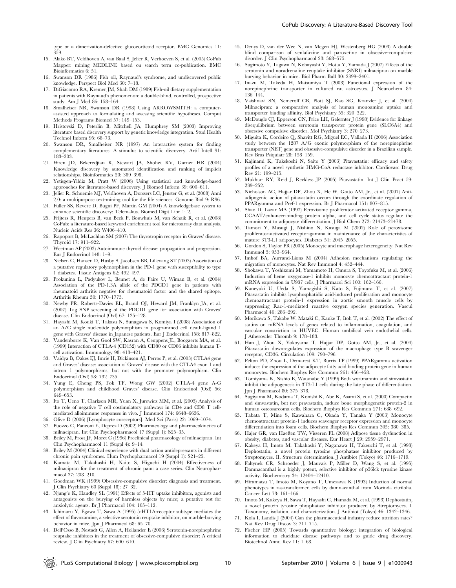type or a dimerization-defective glucocorticoid receptor. BMC Genomics 11: 359.

- 15. Alako BT, Veldhoven A, van Baal S, Jelier R, Verhoeven S, et al. (2005) CoPub Mapper: mining MEDLINE based on search term co-publication. BMC Bioinformatics 6: 51.
- 16. Swanson DR (1986) Fish oil, Raynaud's syndrome, and undiscovered public knowledge. Perspect Biol Med 30: 7–18.
- 17. DiGiacomo RA, Kremer JM, Shah DM (1989) Fish-oil dietary supplementation in patients with Raynaud's phenomenon: a double-blind, controlled, prospective study. Am J Med 86: 158–164.
- 18. Smalheiser NR, Swanson DR (1998) Using ARROWSMITH: a computerassisted approach to formulating and assessing scientific hypotheses. Comput Methods Programs Biomed 57: 149–153.
- 19. Hristovski D, Peterlin B, Mitchell JA, Humphrey SM (2003) Improving literature based discovery support by genetic knowledge integration. Stud Health Technol Inform 95: 68–73.
- 20. Swanson DR, Smalheiser NR (1997) An interactive system for finding complementary literatures: A stimulus to scientific discovery. Artif Intell 91: 183–203.
- 21. Wren JD, Bekeredjian R, Stewart JA, Shohet RV, Garner HR (2004) Knowledge discovery by automated identification and ranking of implicit relationships. Bioinformatics 20: 389–398.
- 22. Yetisgen-Yildiz M, Pratt W (2006) Using statistical and knowledge-based approaches for literature-based discovery. J Biomed Inform 39: 600–611.
- 23. Jelier R, Schuemie MJ, Veldhoven A, Dorssers LC, Jenster G, et al. (2008) Anni 2.0: a multipurpose text-mining tool for the life sciences. Genome Biol 9: R96.
- 24. Fuller SS, Revere D, Bugni PF, Martin GM (2004) A knowledgebase system to enhance scientific discovery: Telemakus. Biomed Digit Libr 1: 2.
- 25. Frijters R, Heupers B, van Beek P, Bouwhuis M, van Schaik R, et al. (2008) CoPub: a literature-based keyword enrichment tool for microarray data analysis. Nucleic Acids Res 36: W406–410.
- 26. Rapoport B, McLachlan SM (2007) The thyrotropin receptor in Graves' disease. Thyroid 17: 911–922.
- 27. Weetman AP (2003) Autoimmune thyroid disease: propagation and progression. Eur J Endocrinol 148: 1–9.
- 28. Nielsen C, Hansen D, Husby S, Jacobsen BB, Lillevang ST (2003) Association of a putative regulatory polymorphism in the PD-1 gene with susceptibility to type 1 diabetes. Tissue Antigens 62: 492–497.
- 29. Prokunina L, Padyukov L, Bennet A, de Faire U, Wiman B, et al. (2004) Association of the PD-1.3A allele of the PDCD1 gene in patients with rheumatoid arthritis negative for rheumatoid factor and the shared epitope. Arthritis Rheum 50: 1770–1773.
- 30. Newby PR, Roberts-Davies EL, Brand OJ, Heward JM, Franklyn JA, et al. (2007) Tag SNP screening of the PDCD1 gene for association with Graves' disease. Clin Endocrinol (Oxf) 67: 125–128.
- 31. Hayashi M, Kouki T, Takasu N, Sunagawa S, Komiya I (2008) Association of an A/C single nucleotide polymorphism in programmed cell death-ligand 1 gene with Graves' disease in Japanese patients. Eur J Endocrinol 158: 817–822.
- 32. Vandenborre K, Van Gool SW, Kasran A, Ceuppens JL, Boogaerts MA, et al. (1999) Interaction of CTLA-4 (CD152) with CD80 or CD86 inhibits human Tcell activation. Immunology 98: 413–421.
- 33. Vaidya B, Oakes EJ, Imrie H, Dickinson AJ, Perros P, et al. (2003) CTLA4 gene and Graves' disease: association of Graves' disease with the CTLA4 exon 1 and intron 1 polymorphisms, but not with the promoter polymorphism. Clin Endocrinol (Oxf) 58: 732–735.
- 34. Yung E, Cheng PS, Fok TF, Wong GW (2002) CTLA-4 gene A-G polymorphism and childhood Graves' disease. Clin Endocrinol (Oxf) 56: 649–653.
- 35. Ito T, Ueno T, Clarkson MR, Yuan X, Jurewicz MM, et al. (2005) Analysis of the role of negative T cell costimulatory pathways in CD4 and CD8 T cellmediated alloimmune responses in vivo. J Immunol 174: 6648–6656.
- 36. Olive D (2006) [Lymphocyte coreceptors]. Med Sci (Paris) 22: 1069–1074.
- 37. Puozzo C, Panconi E, Deprez D (2002) Pharmacology and pharmacokinetics of milnacipran. Int Clin Psychopharmacol 17 (Suppl 1): S25–35.
- 38. Briley M, Prost JF, Moret C (1996) Preclinical pharmacology of milnacipran. Int Clin Psychopharmacol 11 (Suppl 4): 9–14.
- 39. Briley M (2004) Clinical experience with dual action antidepressants in different chronic pain syndromes. Hum Psychopharmacol 19 (Suppl 1): S21–25.
- 40. Kamata M, Takahashi H, Naito S, Higuchi H (2004) Effectiveness of milnacipran for the treatment of chronic pain: a case series. Clin Neuropharmacol 27: 208–210.
- 41. Goodman WK (1999) Obsessive-compulsive disorder: diagnosis and treatment. J Clin Psychiatry 60 (Suppl 18): 27–32.
- 42. Njung'e K, Handley SL (1991) Effects of 5-HT uptake inhibitors, agonists and antagonists on the burying of harmless objects by mice; a putative test for anxiolytic agents. Br J Pharmacol 104: 105–112.
- 43. Ichimaru Y, Egawa T, Sawa A (1995) 5-HT1A-receptor subtype mediates the effect of fluvoxamine, a selective serotonin reuptake inhibitor, on marble-burying behavior in mice. Jpn J Pharmacol 68: 65–70.
- 44. Dell'Osso B, Nestadt G, Allen A, Hollander E (2006) Serotonin-norepinephrine reuptake inhibitors in the treatment of obsessive-compulsive disorder: A critical review. J Clin Psychiatry 67: 600–610.
- 45. Denys D, van der Wee N, van Megen HJ, Westenberg HG (2003) A double blind comparison of venlafaxine and paroxetine in obsessive-compulsive disorder. J Clin Psychopharmacol 23: 568–575.
- 46. Sugimoto Y, Tagawa N, Kobayashi Y, Hotta Y, Yamada J (2007) Effects of the serotonin and noradrenaline reuptake inhibitor (SNRI) milnacipran on marble burying behavior in mice. Biol Pharm Bull 30: 2399–2401.
- 47. Inazu M, Takeda H, Matsumiya T (2003) Functional expression of the norepinephrine transporter in cultured rat astrocytes. J Neurochem 84: 136–144.
- 48. Vaishnavi SN, Nemeroff CB, Plott SJ, Rao SG, Kranzler J, et al. (2004) Milnacipran: a comparative analysis of human monoamine uptake and transporter binding affinity. Biol Psychiatry 55: 320–322.
- 49. McDougle CJ, Epperson CN, Price LH, Gelernter J (1998) Evidence for linkage disequilibrium between serotonin transporter protein gene (SLC6A4) and obsessive compulsive disorder. Mol Psychiatry 3: 270–273.
- 50. Miguita K, Cordeiro Q, Shavitt RG, Miguel EC, Vallada H (2006) Association study between the 1287 A/G exonic polymorphism of the norepinephrine transporter (NET) gene and obsessive-compulsive disorder in a Brazilian sample. Rev Bras Psiquiatr 28: 158–159.
- 51. Kajinami K, Takekoshi N, Saito Y (2003) Pitavastatin: efficacy and safety profiles of a novel synthetic HMG-CoA reductase inhibitor. Cardiovasc Drug Rev 21: 199–215.
- 52. Mukhtar RY, Reid J, Reckless JP (2005) Pitavastatin. Int J Clin Pract 59: 239–252.
- 53. Nicholson AC, Hajjar DP, Zhou X, He W, Gotto AM, Jr., et al. (2007) Antiadipogenic action of pitavastatin occurs through the coordinate regulation of PPARgamma and Pref-1 expression. Br J Pharmacol 151: 807–815.
- 54. Shao D, Lazar MA (1997) Peroxisome proliferator activated receptor gamma, CCAAT/enhancer-binding protein alpha, and cell cycle status regulate the commitment to adipocyte differentiation. J Biol Chem 272: 21473–21478.
- 55. Tamori Y, Masugi J, Nishino N, Kasuga M (2002) Role of peroxisome proliferator-activated receptor-gamma in maintenance of the characteristics of mature 3T3-L1 adipocytes. Diabetes 51: 2045–2055.
- 56. Gordon S, Taylor PR (2005) Monocyte and macrophage heterogeneity. Nat Rev Immunol 5: 953–964.
- 57. Imhof BA, Aurrand-Lions M (2004) Adhesion mechanisms regulating the migration of monocytes. Nat Rev Immunol 4: 432–444.
- 58. Shokawa T, Yoshizumi M, Yamamoto H, Omura S, Toyofuku M, et al. (2006) Induction of heme oxygenase-1 inhibits monocyte chemoattractant protein-1 mRNA expression in U937 cells. J Pharmacol Sci 100: 162–166.
- 59. Kaneyuki U, Ueda S, Yamagishi S, Kato S, Fujimura T, et al. (2007) Pitavastatin inhibits lysophosphatidic acid-induced proliferation and monocyte chemoattractant protein-1 expression in aortic smooth muscle cells by suppressing Rac-1-mediated reactive oxygen species generation. Vascul Pharmacol 46: 286–292.
- 60. Morikawa S, Takabe W, Mataki C, Kanke T, Itoh T, et al. (2002) The effect of statins on mRNA levels of genes related to inflammation, coagulation, and vascular constriction in HUVEC. Human umbilical vein endothelial cells. J Atheroscler Thromb 9: 178–183.
- 61. Han J, Zhou X, Yokoyama T, Hajjar DP, Gotto AM, Jr., et al. (2004) Pitavastatin downregulates expression of the macrophage type B scavenger receptor, CD36. Circulation 109: 790–796.
- 62. Pelton PD, Zhou L, Demarest KT, Burris TP (1999) PPARgamma activation induces the expression of the adipocyte fatty acid binding protein gene in human monocytes. Biochem Biophys Res Commun 261: 456–458.
- 63. Tomiyama K, Nishio E, Watanabe Y (1999) Both wortmannin and simvastatin inhibit the adipogenesis in 3T3-L1 cells during the late phase of differentiation. Jpn J Pharmacol 80: 375–378.
- 64. Sugiyama M, Kodama T, Konishi K, Abe K, Asami S, et al. (2000) Compactin and simvastatin, but not pravastatin, induce bone morphogenetic protein-2 in human osteosarcoma cells. Biochem Biophys Res Commun 271: 688–692.
- 65. Tabata T, Mine S, Kawahara C, Okada Y, Tanaka Y (2003) Monocyte chemoattractant protein-1 induces scavenger receptor expression and monocyte differentiation into foam cells. Biochem Biophys Res Commun 305: 380–385.
- 66. Hajer GR, van Haeften TW, Visseren FL (2008) Adipose tissue dysfunction in obesity, diabetes, and vascular diseases. Eur Heart J 29: 2959–2971.
- 67. Kakeya H, Imoto M, Takahashi Y, Naganawa H, Takeuchi T, et al. (1993) Dephostatin, a novel protein tyrosine phosphatase inhibitor produced by Streptomyces. II. Structure determination. J Antibiot (Tokyo) 46: 1716–1719.
- 68. Faltynek CR, Schroeder J, Mauvais P, Miller D, Wang S, et al. (1995) Damnacanthal is a highly potent, selective inhibitor of p56lck tyrosine kinase activity. Biochemistry 34: 12404–12410.
- 69. Hiramatsu T, Imoto M, Koyano T, Umezawa K (1993) Induction of normal phenotypes in ras-transformed cells by damnacanthal from Morinda citrifolia. Cancer Lett 73: 161–166.
- 70. Imoto M, Kakeya H, Sawa T, Hayashi C, Hamada M, et al. (1993) Dephostatin, a novel protein tyrosine phosphatase inhibitor produced by Streptomyces. I. Taxonomy, isolation, and characterization. J Antibiot (Tokyo) 46: 1342–1346.
- 71. Kola I, Landis J (2004) Can the pharmaceutical industry reduce attrition rates? Nat Rev Drug Discov 3: 711–715.
- 72. Fischer HP (2005) Towards quantitative biology: integration of biological information to elucidate disease pathways and to guide drug discovery. Biotechnol Annu Rev 11: 1–68.